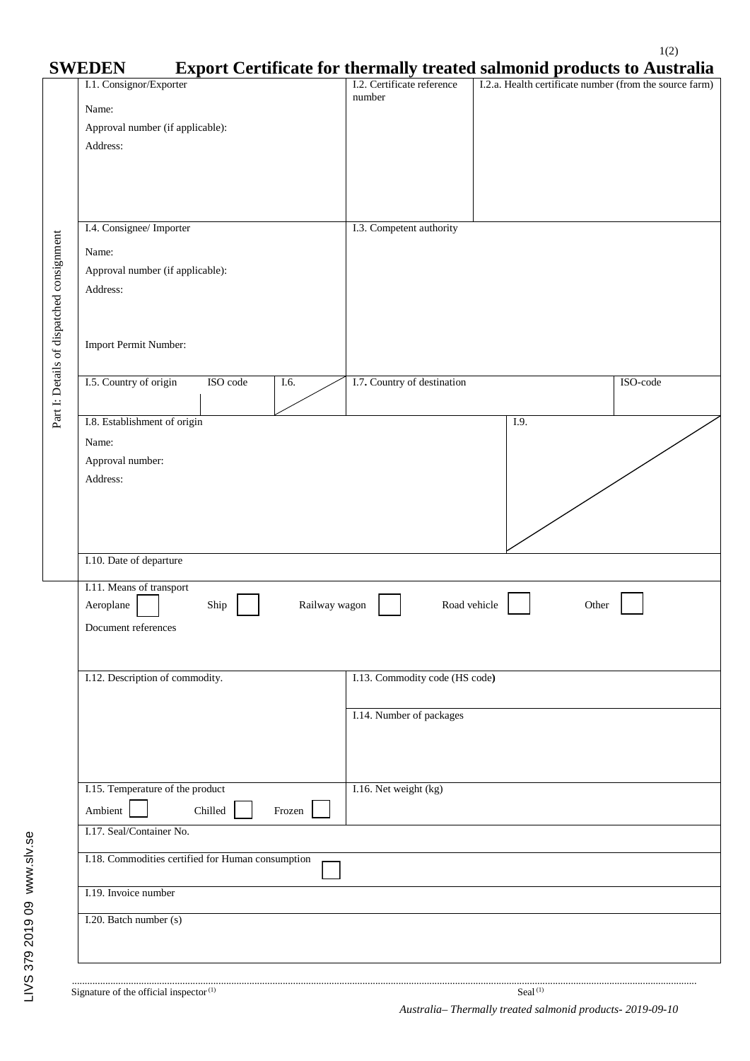|                                           | <b>SWEDEN</b>                                                  |                                | <b>Export Certificate for thermally treated salmonid products to Australia</b> |
|-------------------------------------------|----------------------------------------------------------------|--------------------------------|--------------------------------------------------------------------------------|
|                                           | I.1. Consignor/Exporter                                        | I.2. Certificate reference     | I.2.a. Health certificate number (from the source farm)                        |
|                                           | Name:                                                          | number                         |                                                                                |
|                                           | Approval number (if applicable):                               |                                |                                                                                |
|                                           | Address:                                                       |                                |                                                                                |
|                                           |                                                                |                                |                                                                                |
|                                           |                                                                |                                |                                                                                |
| Part I: Details of dispatched consignment |                                                                |                                |                                                                                |
|                                           |                                                                |                                |                                                                                |
|                                           | I.4. Consignee/ Importer                                       | I.3. Competent authority       |                                                                                |
|                                           | Name:                                                          |                                |                                                                                |
|                                           | Approval number (if applicable):                               |                                |                                                                                |
|                                           | Address:                                                       |                                |                                                                                |
|                                           |                                                                |                                |                                                                                |
|                                           |                                                                |                                |                                                                                |
|                                           | Import Permit Number:                                          |                                |                                                                                |
|                                           |                                                                |                                |                                                                                |
|                                           | I.5. Country of origin<br>ISO code<br>I.6.                     | I.7. Country of destination    | ISO-code                                                                       |
|                                           |                                                                |                                |                                                                                |
|                                           | I.8. Establishment of origin                                   |                                | I.9.                                                                           |
|                                           |                                                                |                                |                                                                                |
|                                           | Name:                                                          |                                |                                                                                |
|                                           | Approval number:                                               |                                |                                                                                |
|                                           | Address:                                                       |                                |                                                                                |
|                                           |                                                                |                                |                                                                                |
|                                           |                                                                |                                |                                                                                |
|                                           |                                                                |                                |                                                                                |
|                                           | I.10. Date of departure                                        |                                |                                                                                |
|                                           |                                                                |                                |                                                                                |
|                                           | I.11. Means of transport<br>Aeroplane<br>Railway wagon<br>Ship | Road vehicle                   | Other                                                                          |
|                                           |                                                                |                                |                                                                                |
|                                           | Document references                                            |                                |                                                                                |
|                                           |                                                                |                                |                                                                                |
|                                           | I.12. Description of commodity.                                | I.13. Commodity code (HS code) |                                                                                |
|                                           |                                                                |                                |                                                                                |
|                                           |                                                                | I.14. Number of packages       |                                                                                |
|                                           |                                                                |                                |                                                                                |
|                                           |                                                                |                                |                                                                                |
|                                           |                                                                |                                |                                                                                |
|                                           |                                                                |                                |                                                                                |
|                                           | I.15. Temperature of the product                               | I.16. Net weight (kg)          |                                                                                |
|                                           | Ambient<br>Chilled<br>Frozen                                   |                                |                                                                                |
|                                           | I.17. Seal/Container No.                                       |                                |                                                                                |
|                                           | I.18. Commodities certified for Human consumption              |                                |                                                                                |
|                                           |                                                                |                                |                                                                                |
|                                           | I.19. Invoice number                                           |                                |                                                                                |
|                                           |                                                                |                                |                                                                                |
|                                           | I.20. Batch number (s)                                         |                                |                                                                                |
|                                           |                                                                |                                |                                                                                |
|                                           |                                                                |                                |                                                                                |

LIVS 379 2019 09 www.slv.se LIVS 379 2019 09 www.slv.se